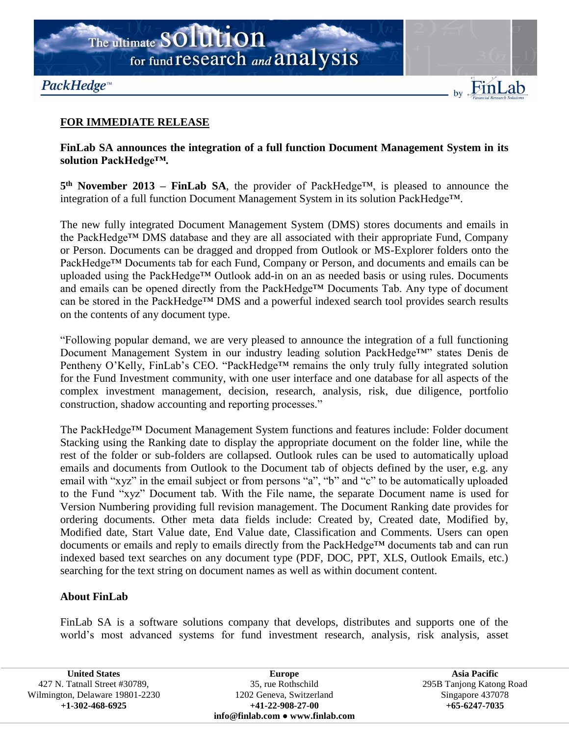

## **FOR IMMEDIATE RELEASE**

## **FinLab SA announces the integration of a full function Document Management System in its solution PackHedge™.**

**5 th November 2013 – FinLab SA**, the provider of PackHedge™, is pleased to announce the integration of a full function Document Management System in its solution PackHedge™.

The new fully integrated Document Management System (DMS) stores documents and emails in the PackHedge™ DMS database and they are all associated with their appropriate Fund, Company or Person. Documents can be dragged and dropped from Outlook or MS-Explorer folders onto the PackHedge™ Documents tab for each Fund, Company or Person, and documents and emails can be uploaded using the PackHedge™ Outlook add-in on an as needed basis or using rules. Documents and emails can be opened directly from the PackHedge™ Documents Tab. Any type of document can be stored in the PackHedge™ DMS and a powerful indexed search tool provides search results on the contents of any document type.

"Following popular demand, we are very pleased to announce the integration of a full functioning Document Management System in our industry leading solution PackHedge™" states Denis de Pentheny O'Kelly, FinLab's CEO. "PackHedge™ remains the only truly fully integrated solution for the Fund Investment community, with one user interface and one database for all aspects of the complex investment management, decision, research, analysis, risk, due diligence, portfolio construction, shadow accounting and reporting processes."

The PackHedge™ Document Management System functions and features include: Folder document Stacking using the Ranking date to display the appropriate document on the folder line, while the rest of the folder or sub-folders are collapsed. Outlook rules can be used to automatically upload emails and documents from Outlook to the Document tab of objects defined by the user, e.g. any email with "xyz" in the email subject or from persons "a", "b" and "c" to be automatically uploaded to the Fund "xyz" Document tab. With the File name, the separate Document name is used for Version Numbering providing full revision management. The Document Ranking date provides for ordering documents. Other meta data fields include: Created by, Created date, Modified by, Modified date, Start Value date, End Value date, Classification and Comments. Users can open documents or emails and reply to emails directly from the PackHedge™ documents tab and can run indexed based text searches on any document type (PDF, DOC, PPT, XLS, Outlook Emails, etc.) searching for the text string on document names as well as within document content.

## **About FinLab**

FinLab SA is a software solutions company that develops, distributes and supports one of the world's most advanced systems for fund investment research, analysis, risk analysis, asset

**United States** 427 N. Tatnall Street #30789, Wilmington, Delaware 19801-2230 **+1-302-468-6925**

**Europe** 35, rue Rothschild 1202 Geneva, Switzerland **+41-22-908-27-00 info@finlab.com** ● **www.finlab.com**

**Asia Pacific** 295B Tanjong Katong Road Singapore 437078 **+65-6247-7035**